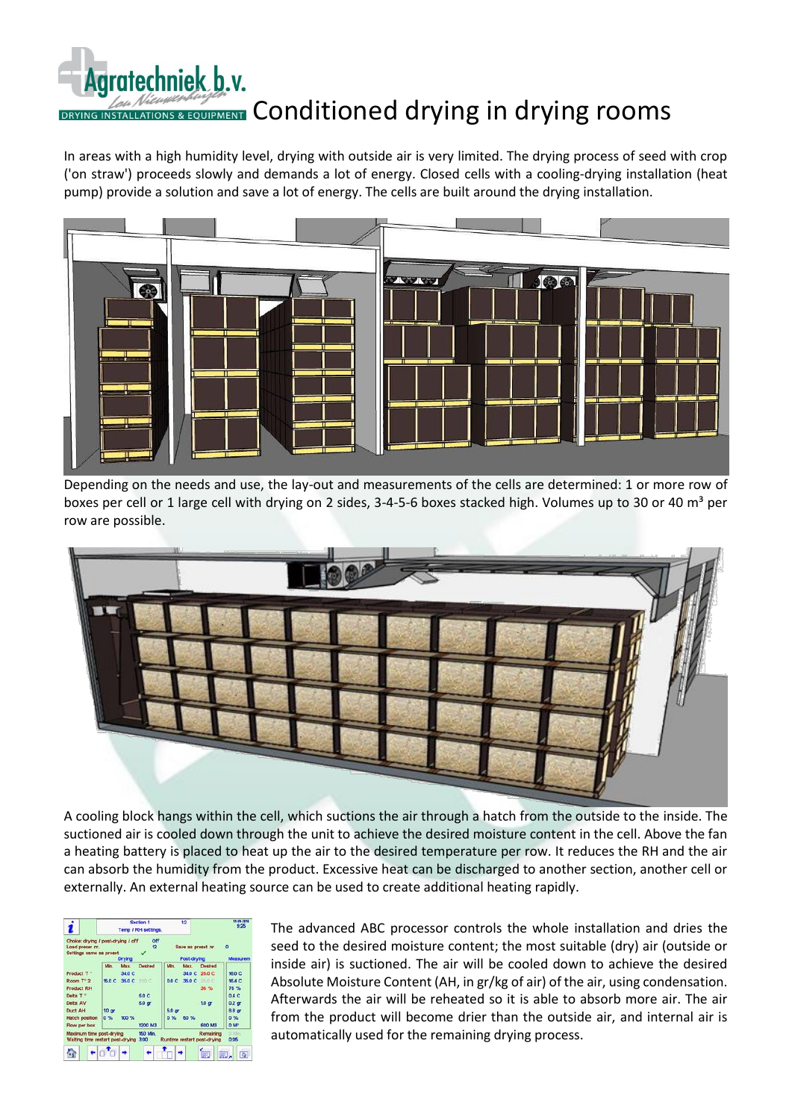

## DRYING INSTALLATIONS & EQUIPMENT Conditioned drying in drying rooms

In areas with a high humidity level, drying with outside air is very limited. The drying process of seed with crop ('on straw') proceeds slowly and demands a lot of energy. Closed cells with a cooling-drying installation (heat pump) provide a solution and save a lot of energy. The cells are built around the drying installation.



Depending on the needs and use, the lay-out and measurements of the cells are determined: 1 or more row of boxes per cell or 1 large cell with drying on 2 sides, 3-4-5-6 boxes stacked high. Volumes up to 30 or 40 m<sup>3</sup> per row are possible.



A cooling block hangs within the cell, which suctions the air through a hatch from the outside to the inside. The suctioned air is cooled down through the unit to achieve the desired moisture content in the cell. Above the fan a heating battery is placed to heat up the air to the desired temperature per row. It reduces the RH and the air can absorb the humidity from the product. Excessive heat can be discharged to another section, another cell or externally. An external heating source can be used to create additional heating rapidly.

|                                                                                  | Section 1<br>Temp / RH settings. |        |                  |                   | 12          |                                          | 11.01.3014<br>925   |
|----------------------------------------------------------------------------------|----------------------------------|--------|------------------|-------------------|-------------|------------------------------------------|---------------------|
| Choice: drying / post-drying / off<br>Load preser rr.<br>Settings same as preset |                                  | Drying | Off.<br>12       |                   | Post-drying | Save as preset rr.                       | $\circ$<br>Measurem |
|                                                                                  | Min.                             | Max.   | Desired          | Mirs              | Max.        | Desired                                  |                     |
| Product T <sup>®</sup>                                                           |                                  | 340 C  |                  |                   |             | 340 C 260 C                              | 16.0 C              |
| Room T <sup>*</sup> 2                                                            | 15.0 C                           | 35.D C | 210C             | 00C               | 35.0 C      | 26.0 C                                   | 16.4 C              |
| <b>Product RH</b>                                                                |                                  |        |                  |                   |             | 35 %                                     | 75%                 |
| Delta T                                                                          |                                  |        | 6.0 C            |                   |             |                                          | 0.4 C               |
| Delta AV                                                                         |                                  |        | 60 <sub>cr</sub> |                   |             | 10 <sub>cr</sub>                         | $0.2$ or            |
| Duct AH                                                                          | 10 <sub>or</sub>                 |        |                  | $6.0 \text{ or }$ |             |                                          | 8.8 <sub>or</sub>   |
| Hatch position                                                                   | 0.96                             | 100 %  |                  | 0%                | 50 %        |                                          | 0.96                |
| Flow per box                                                                     |                                  |        | 1200 M3          |                   |             | 600 M3                                   | O M <sup>*</sup>    |
| Maximum time post-drying<br>Waiting time restart post-drying 3:00                |                                  |        | 150 Min.         |                   |             | Remaining<br>Runtime restart post-drying | O. Blirt<br>0:05    |
|                                                                                  |                                  |        |                  |                   |             | $\equiv$<br>霹                            | 蚕                   |

The advanced ABC processor controls the whole installation and dries the seed to the desired moisture content; the most suitable (dry) air (outside or inside air) is suctioned. The air will be cooled down to achieve the desired Absolute Moisture Content (AH, in gr/kg of air) of the air, using condensation. Afterwards the air will be reheated so it is able to absorb more air. The air from the product will become drier than the outside air, and internal air is automatically used for the remaining drying process.